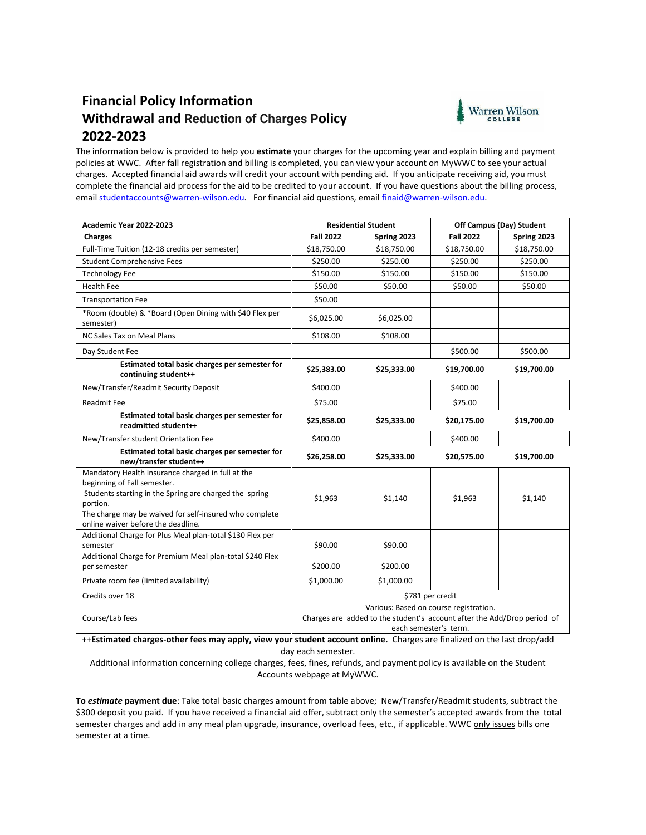# **Financial Policy Information Withdrawal and Reduction of Charges Policy 2022-2023**



The information below is provided to help you **estimate** your charges for the upcoming year and explain billing and payment policies at WWC. After fall registration and billing is completed, you can view your account on MyWWC to see your actual charges. Accepted financial aid awards will credit your account with pending aid. If you anticipate receiving aid, you must complete the financial aid process for the aid to be credited to your account. If you have questions about the billing process, emai[l studentaccounts@warren-wilson.edu.](mailto:studentaccounts@warren-wilson.edu) For financial aid questions, emai[l finaid@warren-wilson.edu.](mailto:finaid@warren-wilson.edu)

| Academic Year 2022-2023                                                                                                                                                                                                                                | <b>Residential Student</b>                                                                                                                 |             | Off Campus (Day) Student |             |
|--------------------------------------------------------------------------------------------------------------------------------------------------------------------------------------------------------------------------------------------------------|--------------------------------------------------------------------------------------------------------------------------------------------|-------------|--------------------------|-------------|
| Charges                                                                                                                                                                                                                                                | <b>Fall 2022</b>                                                                                                                           | Spring 2023 | <b>Fall 2022</b>         | Spring 2023 |
| Full-Time Tuition (12-18 credits per semester)                                                                                                                                                                                                         | \$18,750.00                                                                                                                                | \$18,750.00 | \$18,750.00              | \$18,750.00 |
| <b>Student Comprehensive Fees</b>                                                                                                                                                                                                                      | \$250.00                                                                                                                                   | \$250.00    | \$250.00                 | \$250.00    |
| <b>Technology Fee</b>                                                                                                                                                                                                                                  | \$150.00                                                                                                                                   | \$150.00    | \$150.00                 | \$150.00    |
| <b>Health Fee</b>                                                                                                                                                                                                                                      | \$50.00                                                                                                                                    | \$50.00     | \$50.00                  | \$50.00     |
| <b>Transportation Fee</b>                                                                                                                                                                                                                              | \$50.00                                                                                                                                    |             |                          |             |
| *Room (double) & *Board (Open Dining with \$40 Flex per<br>semester)                                                                                                                                                                                   | \$6,025.00                                                                                                                                 | \$6,025.00  |                          |             |
| NC Sales Tax on Meal Plans                                                                                                                                                                                                                             | \$108.00                                                                                                                                   | \$108.00    |                          |             |
| Day Student Fee                                                                                                                                                                                                                                        |                                                                                                                                            |             | \$500.00                 | \$500.00    |
| Estimated total basic charges per semester for<br>continuing student++                                                                                                                                                                                 | \$25,383.00                                                                                                                                | \$25,333.00 | \$19,700.00              | \$19,700.00 |
| New/Transfer/Readmit Security Deposit                                                                                                                                                                                                                  | \$400.00                                                                                                                                   |             | \$400.00                 |             |
| <b>Readmit Fee</b>                                                                                                                                                                                                                                     | \$75.00                                                                                                                                    |             | \$75.00                  |             |
| Estimated total basic charges per semester for<br>readmitted student++                                                                                                                                                                                 | \$25,858.00                                                                                                                                | \$25,333.00 | \$20,175.00              | \$19,700.00 |
| New/Transfer student Orientation Fee                                                                                                                                                                                                                   | \$400.00                                                                                                                                   |             | \$400.00                 |             |
| Estimated total basic charges per semester for<br>new/transfer student++                                                                                                                                                                               | \$26,258.00                                                                                                                                | \$25,333.00 | \$20,575.00              | \$19,700.00 |
| Mandatory Health insurance charged in full at the<br>beginning of Fall semester.<br>Students starting in the Spring are charged the spring<br>portion.<br>The charge may be waived for self-insured who complete<br>online waiver before the deadline. | \$1,963                                                                                                                                    | \$1,140     | \$1,963                  | \$1,140     |
| Additional Charge for Plus Meal plan-total \$130 Flex per<br>semester                                                                                                                                                                                  | \$90.00                                                                                                                                    | \$90.00     |                          |             |
| Additional Charge for Premium Meal plan-total \$240 Flex<br>per semester                                                                                                                                                                               | \$200.00                                                                                                                                   | \$200.00    |                          |             |
| Private room fee (limited availability)                                                                                                                                                                                                                | \$1,000.00                                                                                                                                 | \$1,000.00  |                          |             |
| Credits over 18                                                                                                                                                                                                                                        | \$781 per credit                                                                                                                           |             |                          |             |
| Course/Lab fees                                                                                                                                                                                                                                        | Various: Based on course registration.<br>Charges are added to the student's account after the Add/Drop period of<br>each semester's term. |             |                          |             |

++**Estimated charges-other fees may apply, view your student account online.** Charges are finalized on the last drop/add day each semester.

Additional information concerning college charges, fees, fines, refunds, and payment policy is available on the Student Accounts webpage at MyWWC.

**To** *estimate* **payment due**: Take total basic charges amount from table above; New/Transfer/Readmit students, subtract the \$300 deposit you paid. If you have received a financial aid offer, subtract only the semester's accepted awards from the total semester charges and add in any meal plan upgrade, insurance, overload fees, etc., if applicable. WWC only issues bills one semester at a time.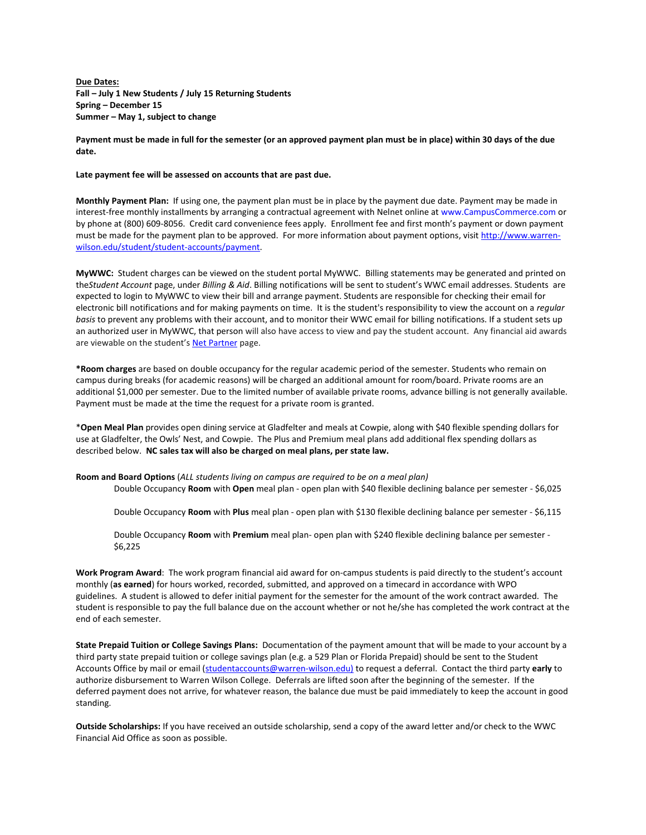**Due Dates: Fall – July 1 New Students / July 15 Returning Students Spring – December 15 Summer – May 1, subject to change**

## **Payment must be made in full for the semester (or an approved payment plan must be in place) within 30 days of the due date.**

#### **Late payment fee will be assessed on accounts that are past due.**

**Monthly Payment Plan:** If using one, the payment plan must be in place by the payment due date. Payment may be made in interest-free monthly installments by arranging a contractual agreement with Nelnet online at www.CampusCommerce.com or by phone at (800) 609-8056. Credit card convenience fees apply. Enrollment fee and first month's payment or down payment must be made for the payment plan to be approved. For more information about payment options, visit [http://www.warren](http://www.warren-wilson.edu/student/student-accounts/payment)[wilson.edu/student/student-accounts/payment.](http://www.warren-wilson.edu/student/student-accounts/payment)

**MyWWC:** Student charges can be viewed on the student portal MyWWC. Billing statements may be generated and printed on the*Student Account* page, under *Billing & Aid*. Billing notifications will be sent to student's WWC email addresses. Students are expected to login to MyWWC to view their bill and arrange payment. Students are responsible for checking their email for electronic bill notifications and for making payments on time. It is the student's responsibility to view the account on a *regular basis* to prevent any problems with their account, and to monitor their WWC email for billing notifications. If a student sets up an authorized user in MyWWC, that person will also have access to view and pay the student account. Any financial aid awards are viewable on the student's [Net Partner](https://netpartner.warren-wilson.edu/NetPartner/NetPartnerStudent/Logon.aspx?ReturnUrl=%2fNetPartner%2fNetPartnerStudent) page.

**\*Room charges** are based on double occupancy for the regular academic period of the semester. Students who remain on campus during breaks (for academic reasons) will be charged an additional amount for room/board. Private rooms are an additional \$1,000 per semester. Due to the limited number of available private rooms, advance billing is not generally available. Payment must be made at the time the request for a private room is granted.

\***Open Meal Plan** provides open dining service at Gladfelter and meals at Cowpie, along with \$40 flexible spending dollars for use at Gladfelter, the Owls' Nest, and Cowpie. The Plus and Premium meal plans add additional flex spending dollars as described below. **NC sales tax will also be charged on meal plans, per state law.**

**Room and Board Options** (*ALL students living on campus are required to be on a meal plan)* Double Occupancy **Room** with **Open** meal plan - open plan with \$40 flexible declining balance per semester - \$6,025

Double Occupancy **Room** with **Plus** meal plan - open plan with \$130 flexible declining balance per semester - \$6,115

Double Occupancy **Room** with **Premium** meal plan- open plan with \$240 flexible declining balance per semester - \$6,225

**Work Program Award**: The work program financial aid award for on-campus students is paid directly to the student's account monthly (**as earned**) for hours worked, recorded, submitted, and approved on a timecard in accordance with WPO guidelines. A student is allowed to defer initial payment for the semester for the amount of the work contract awarded. The student is responsible to pay the full balance due on the account whether or not he/she has completed the work contract at the end of each semester.

**State Prepaid Tuition or College Savings Plans:** Documentation of the payment amount that will be made to your account by a third party state prepaid tuition or college savings plan (e.g. a 529 Plan or Florida Prepaid) should be sent to the Student Accounts Office by mail or email [\(studentaccounts@warren-wilson.edu\)](mailto:studentaccounts@warren-wilson.edu) to request a deferral. Contact the third party **early** to authorize disbursement to Warren Wilson College. Deferrals are lifted soon after the beginning of the semester. If the deferred payment does not arrive, for whatever reason, the balance due must be paid immediately to keep the account in good standing.

**Outside Scholarships:** If you have received an outside scholarship, send a copy of the award letter and/or check to the WWC Financial Aid Office as soon as possible.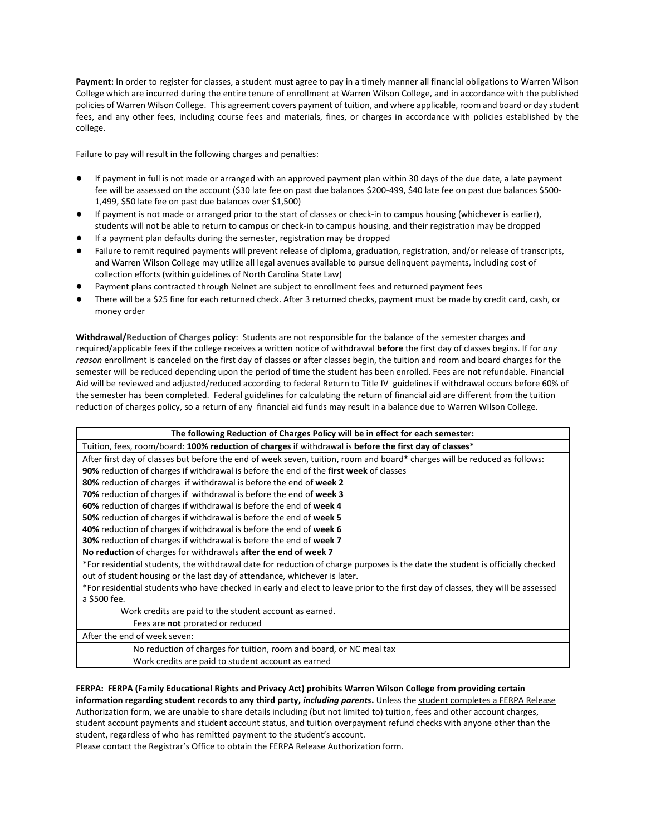**Payment:** In order to register for classes, a student must agree to pay in a timely manner all financial obligations to Warren Wilson College which are incurred during the entire tenure of enrollment at Warren Wilson College, and in accordance with the published policies of Warren Wilson College. This agreement covers payment of tuition, and where applicable, room and board or day student fees, and any other fees, including course fees and materials, fines, or charges in accordance with policies established by the college.

Failure to pay will result in the following charges and penalties:

- If payment in full is not made or arranged with an approved payment plan within 30 days of the due date, a late payment fee will be assessed on the account (\$30 late fee on past due balances \$200-499, \$40 late fee on past due balances \$500- 1,499, \$50 late fee on past due balances over \$1,500)
- If payment is not made or arranged prior to the start of classes or check-in to campus housing (whichever is earlier), students will not be able to return to campus or check-in to campus housing, and their registration may be dropped
- If a payment plan defaults during the semester, registration may be dropped
- Failure to remit required payments will prevent release of diploma, graduation, registration, and/or release of transcripts, and Warren Wilson College may utilize all legal avenues available to pursue delinquent payments, including cost of collection efforts (within guidelines of North Carolina State Law)
- Payment plans contracted through Nelnet are subject to enrollment fees and returned payment fees
- There will be a \$25 fine for each returned check. After 3 returned checks, payment must be made by credit card, cash, or money order

**Withdrawal/Reduction of Charges policy**: Students are not responsible for the balance of the semester charges and required/applicable fees if the college receives a written notice of withdrawal **before** the first day of classes begins. If for *any reason* enrollment is canceled on the first day of classes or after classes begin, the tuition and room and board charges for the semester will be reduced depending upon the period of time the student has been enrolled. Fees are **not** refundable. Financial Aid will be reviewed and adjusted/reduced according to federal Return to Title IV guidelines if withdrawal occurs before 60% of the semester has been completed. Federal guidelines for calculating the return of financial aid are different from the tuition reduction of charges policy, so a return of any financial aid funds may result in a balance due to Warren Wilson College.

| The following Reduction of Charges Policy will be in effect for each semester:                                                  |  |  |  |
|---------------------------------------------------------------------------------------------------------------------------------|--|--|--|
| Tuition, fees, room/board: 100% reduction of charges if withdrawal is before the first day of classes*                          |  |  |  |
| After first day of classes but before the end of week seven, tuition, room and board* charges will be reduced as follows:       |  |  |  |
| 90% reduction of charges if withdrawal is before the end of the first week of classes                                           |  |  |  |
| 80% reduction of charges if withdrawal is before the end of week 2                                                              |  |  |  |
| 70% reduction of charges if withdrawal is before the end of week 3                                                              |  |  |  |
| 60% reduction of charges if withdrawal is before the end of week 4                                                              |  |  |  |
| 50% reduction of charges if withdrawal is before the end of week 5                                                              |  |  |  |
| 40% reduction of charges if withdrawal is before the end of week 6                                                              |  |  |  |
| 30% reduction of charges if withdrawal is before the end of week 7                                                              |  |  |  |
| No reduction of charges for withdrawals after the end of week 7                                                                 |  |  |  |
| *For residential students, the withdrawal date for reduction of charge purposes is the date the student is officially checked   |  |  |  |
| out of student housing or the last day of attendance, whichever is later.                                                       |  |  |  |
| *For residential students who have checked in early and elect to leave prior to the first day of classes, they will be assessed |  |  |  |
| a \$500 fee.                                                                                                                    |  |  |  |
| Work credits are paid to the student account as earned.                                                                         |  |  |  |
| Fees are <b>not</b> prorated or reduced                                                                                         |  |  |  |
| After the end of week seven:                                                                                                    |  |  |  |
| No reduction of charges for tuition, room and board, or NC meal tax                                                             |  |  |  |
| Work credits are paid to student account as earned                                                                              |  |  |  |

### **FERPA: FERPA (Family Educational Rights and Privacy Act) prohibits Warren Wilson College from providing certain information regarding student records to any third party,** *including parents***.** Unless the student completes a FERPA Release

Authorization form, we are unable to share details including (but not limited to) tuition, fees and other account charges, student account payments and student account status, and tuition overpayment refund checks with anyone other than the student, regardless of who has remitted payment to the student's account.

Please contact the Registrar's Office to obtain the FERPA Release Authorization form.